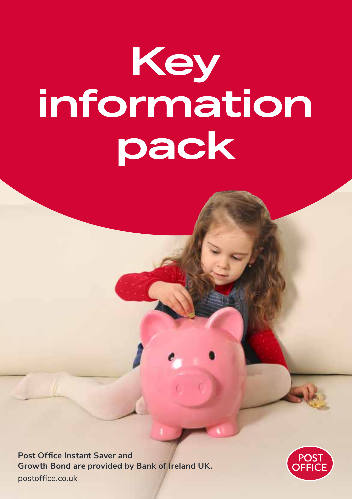# **Key information pack**

**Post Office Instant Saver and Growth Bond are provided by Bank of Ireland UK.**  postoffice.co.uk

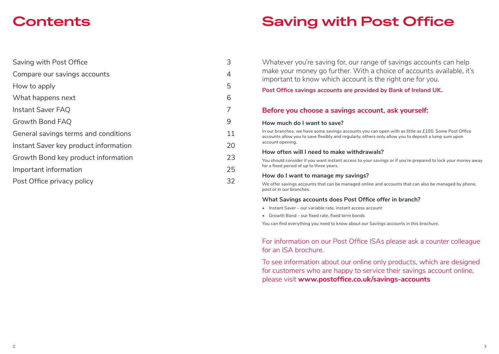### **Contents**

| 3  |
|----|
| 4  |
| 5  |
| 6  |
|    |
| 9  |
| 11 |
| 20 |
| 23 |
| 25 |
| 32 |
|    |

## **Saving with Post Office**

Whatever you're saving for, our range of savings accounts can help make your money go further. With a choice of accounts available, it's important to know which account is the right one for you.

#### **Post Office savings accounts are provided by Bank of Ireland UK.**

#### **Before you choose a savings account, ask yourself:**

#### **How much do I want to save?**

In our branches, we have some savings accounts you can open with as little as £100. Some Post Office accounts allow you to save flexibly and regularly, others only allow you to deposit a lump sum upon account opening.

#### **How often will I need to make withdrawals?**

You should consider if you want instant access to your savings or if you're prepared to lock your money away for a fixed period of up to three years.

#### **How do I want to manage my savings?**

We offer savings accounts that can be managed online and accounts that can also be managed by phone, post or in our branches.

#### **What Savings accounts does Post Office offer in branch?**

- **•** Instant Saver our variable rate, instant access account
- **•** Growth Bond our fixed rate, fixed term bonds

You can find everything you need to know about our Savings accounts in this brochure.

#### For information on our Post Office ISAs please ask a counter colleague for an ISA brochure.

To see information about our online only products, which are designed for customers who are happy to service their savings account online, please visit **www.postoffice.co.uk/savings-accounts**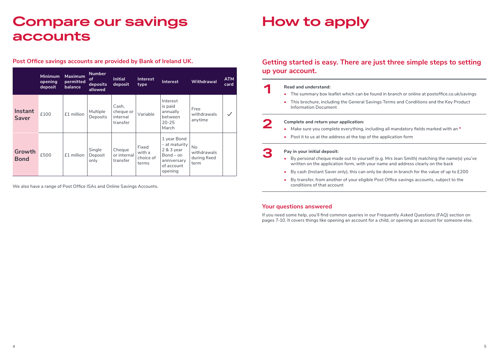### **Compare our savings accounts**

#### **Post Office savings accounts are provided by Bank of Ireland UK.**

|                         | <b>Minimum</b><br>opening<br>deposit | <b>Maximum</b><br>permitted<br>balance | <b>Number</b><br>of<br>deposits<br>allowed | <b>Initial</b><br>deposit                  | Interest<br>type                      | Interest                                                                                              | Withdrawal                                       | <b>ATM</b><br>card |
|-------------------------|--------------------------------------|----------------------------------------|--------------------------------------------|--------------------------------------------|---------------------------------------|-------------------------------------------------------------------------------------------------------|--------------------------------------------------|--------------------|
| Instant<br><b>Saver</b> | £100                                 | £1 million                             | Multiple<br>Deposits                       | Cash,<br>cheque or<br>internal<br>transfer | Variable                              | Interest<br>is paid<br>annually<br>between<br>$20 - 25$<br>March                                      | Free<br>withdrawals<br>anytime                   |                    |
| Growth<br><b>Bond</b>   | £500                                 | £1 million                             | Single<br>Deposit<br>only                  | Cheque<br>or internal<br>transfer          | Fixed<br>with a<br>choice of<br>terms | 1 year Bond<br>$-$ at maturity<br>$2 & 3$ year<br>$Bond - on$<br>anniversary<br>of account<br>opening | <b>No</b><br>withdrawals<br>during fixed<br>term |                    |

We also have a range of Post Office ISAs and Online Savings Accounts.

## **How to apply**

### **Getting started is easy. There are just three simple steps to setting up your account.**

- **1 Read and understand: •**<br>**•** The summary box leaflet which can be found in branch or online at postoffice.co.uk/savings
	- **•** This brochure, including the General Savings Terms and Conditions and the Key Product Information Document

- **2 Complete and return your application:**<br>• Make sure you complete everything, including all mandatory fields marked with an <sup>\*</sup>
	- **•** Post it to us at the address at the top of the application form

#### **3 Pay in your initial deposit:**

- **•** By personal cheque made out to yourself (e.g. Mrs Jean Smith) matching the name(s) you've written on the application form, with your name and address clearly on the back
- **•** By cash (Instant Saver only), this can only be done in branch for the value of up to £200
- **•** By transfer, from another of your eligible Post Office savings accounts, subject to the conditions of that account

#### **Your questions answered**

If you need some help, you'll find common queries in our Frequently Asked Questions (FAQ) section on pages 7-10. It covers things like opening an account for a child, or opening an account for someone else.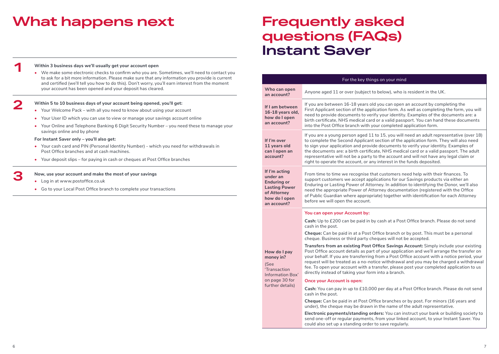## **What happens next**

### **Frequently asked questions (FAQs) Instant Saver**

|                                                                                                                        | For the key things on your mind                                                                                                                                                                                                                                                                                                                                                                                                                                                                                                        |  |  |  |  |
|------------------------------------------------------------------------------------------------------------------------|----------------------------------------------------------------------------------------------------------------------------------------------------------------------------------------------------------------------------------------------------------------------------------------------------------------------------------------------------------------------------------------------------------------------------------------------------------------------------------------------------------------------------------------|--|--|--|--|
| Who can open<br>an account?                                                                                            | Anyone aged 11 or over (subject to below), who is resident in the UK.                                                                                                                                                                                                                                                                                                                                                                                                                                                                  |  |  |  |  |
| If I am between<br>16-18 years old,<br>how do I open<br>an account?                                                    | If you are between 16-18 years old you can open an account by completing the<br>First Applicant section of the application form. As well as completing the form, you will<br>need to provide documents to verify your identity. Examples of the documents are: a<br>birth certificate, NHS medical card or a valid passport. You can hand these documents<br>into the Post Office branch with your completed application form.                                                                                                         |  |  |  |  |
| If I'm over<br>11 years old<br>can I open an<br>account?                                                               | If you are a young person aged 11 to 15, you will need an adult representative (over 18)<br>to complete the Second Applicant section of the application form. They will also need<br>to sign your application and provide documents to verify your identity. Examples of<br>the documents are: a birth certificate, NHS medical card or a valid passport. The adult<br>representative will not be a party to the account and will not have any legal claim or<br>right to operate the account, or any interest in the funds deposited. |  |  |  |  |
| If I'm acting<br>under an<br><b>Enduring or</b><br><b>Lasting Power</b><br>of Attorney<br>how do I open<br>an account? | From time to time we recognise that customers need help with their finances. To<br>support customers we accept applications for our Savings products via either an<br>Enduring or Lasting Power of Attorney. In addition to identifying the Donor, we'll also<br>need the appropriate Power of Attorney documentation (registered with the Office<br>of Public Guardian where appropriate) together with identification for each Attorney<br>before we will open the account.                                                          |  |  |  |  |
|                                                                                                                        | You can open your Account by:                                                                                                                                                                                                                                                                                                                                                                                                                                                                                                          |  |  |  |  |
|                                                                                                                        | Cash: Up to £200 can be paid in by cash at a Post Office branch. Please do not send<br>cash in the post.                                                                                                                                                                                                                                                                                                                                                                                                                               |  |  |  |  |
|                                                                                                                        | <b>Cheque:</b> Can be paid in at a Post Office branch or by post. This must be a personal<br>cheque. Business or third party cheques will not be accepted.                                                                                                                                                                                                                                                                                                                                                                             |  |  |  |  |
| How do I pay<br>money in?<br>(See<br>'Transaction<br>Information Box'<br>on page 30 for<br>further details)            | Transfers from an existing Post Office Savings Account: Simply include your existing<br>Post Office account details as part of your application and we'll arrange the transfer on<br>your behalf. If you are transferring from a Post Office account with a notice period, your<br>request will be treated as a no-notice withdrawal and you may be charged a withdrawal<br>fee. To open your account with a transfer, please post your completed application to us<br>directly instead of taking your form into a branch.             |  |  |  |  |
|                                                                                                                        | <b>Once your Account is open:</b>                                                                                                                                                                                                                                                                                                                                                                                                                                                                                                      |  |  |  |  |
|                                                                                                                        | Cash: You can pay in up to £10,000 per day at a Post Office branch. Please do not send<br>cash in the post.                                                                                                                                                                                                                                                                                                                                                                                                                            |  |  |  |  |
|                                                                                                                        | Cheque: Can be paid in at Post Office branches or by post. For minors (16 years and<br>under), the cheque may be drawn in the name of the adult representative.                                                                                                                                                                                                                                                                                                                                                                        |  |  |  |  |
|                                                                                                                        | Electronic payments/standing orders: You can instruct your bank or building society to<br>send one-off or regular payments, from your linked account, to your Instant Saver. You<br>could also set up a standing order to save regularly.                                                                                                                                                                                                                                                                                              |  |  |  |  |

**1 1 1 Within 3 business days we'll usually get your account open <b>•** We make some electronic checks to confirm who you are. Sometimes, we'll need to contact you to ask for a bit more information. Please make sure that any information you provide is current and certified (we'll tell you how to do this). Don't worry, you'll earn interest from the moment your account has been opened and your deposit has cleared.

#### **2 Within 5 to 10 business days of your account being opened, you'll get:**

- **•** Your Welcome Pack with all you need to know about using your account
- **•** Your User ID which you can use to view or manage your savings account online
- **•** Your Online and Telephone Banking 6 Digit Security Number you need these to manage your savings online and by phone

#### **For Instant Saver only – you'll also get:**

- **•** Your cash card and PIN (Personal Identity Number) which you need for withdrawals in Post Office branches and at cash machines.
- **•** Your deposit slips for paying in cash or cheques at Post Office branches

#### **3 Now, use your account and make the most of your savings**

- **•** Log in at www.postoffice.co.uk
- **•** Go to your Local Post Office branch to complete your transactions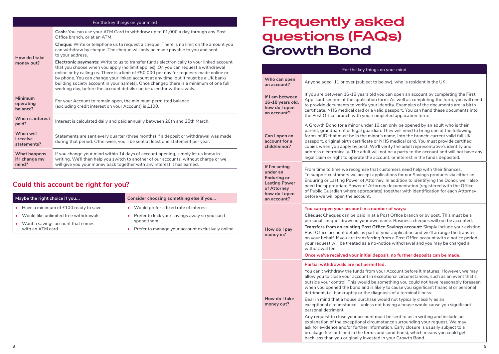|                                         | For the key things on your mind                                                                                                                                                                                                                                                                                                                                                                                                                                                                                                            |
|-----------------------------------------|--------------------------------------------------------------------------------------------------------------------------------------------------------------------------------------------------------------------------------------------------------------------------------------------------------------------------------------------------------------------------------------------------------------------------------------------------------------------------------------------------------------------------------------------|
|                                         | Cash: You can use your ATM Card to withdraw up to £1,000 a day through any Post<br>Office branch, or at an ATM.                                                                                                                                                                                                                                                                                                                                                                                                                            |
| How do I take                           | <b>Cheque:</b> Write or telephone us to request a cheque. There is no limit on the amount you<br>can withdraw by cheque. The cheque will only be made payable to you and sent<br>to your address.                                                                                                                                                                                                                                                                                                                                          |
| money out?                              | <b>Electronic payments:</b> Write to us to transfer funds electronically to your linked account<br>that you choose when you apply (no limit applies). Or, you can request a withdrawal<br>online or by calling us. There is a limit of £50,000 per day for requests made online or<br>by phone. You can change your linked account at any time, but it must be a UK bank/<br>building society account in your name(s). Once changed there is a minimum of one full<br>working day, before the account details can be used for withdrawals. |
| <b>Minimum</b><br>operating<br>balance? | For your Account to remain open, the minimum permitted balance<br>(excluding credit interest on your Account) is £100.                                                                                                                                                                                                                                                                                                                                                                                                                     |
| When is interest<br>paid?               | Interest is calculated daily and paid annually between 20th and 25th March.                                                                                                                                                                                                                                                                                                                                                                                                                                                                |
| When will<br>I receive<br>statements?   | Statements are sent every quarter (three months) if a deposit or withdrawal was made<br>during that period. Otherwise, you'll be sent at least one statement per year.                                                                                                                                                                                                                                                                                                                                                                     |
| What happens<br>if I change my<br>mind? | If you change your mind within 14 days of account opening, simply let us know in<br>writing. We'll then help you switch to another of our accounts, without charge or we<br>will give you your money back together with any interest it has earned.                                                                                                                                                                                                                                                                                        |

### **Could this account be right for you?**

| Maybe the right choice if you                                      | Consider choosing something else if you                        |  |
|--------------------------------------------------------------------|----------------------------------------------------------------|--|
| • Have a minimum of £100 ready to save                             | Would prefer a fixed rate of interest                          |  |
| Would like unlimited free withdrawals                              | Prefer to lock your savings away so you can't                  |  |
| Want a savings account that comes<br>$\bullet$<br>with an ATM card | spend them<br>Prefer to manage your account exclusively online |  |

### **Frequently asked questions (FAQs) Growth Bond**

|                                                                                                                        | For the key things on your mind                                                                                                                                                                                                                                                                                                                                                                                                                                                                                                                                                                                                                                                                                                                                                                                                                                                                                                                                                                                                                                          |
|------------------------------------------------------------------------------------------------------------------------|--------------------------------------------------------------------------------------------------------------------------------------------------------------------------------------------------------------------------------------------------------------------------------------------------------------------------------------------------------------------------------------------------------------------------------------------------------------------------------------------------------------------------------------------------------------------------------------------------------------------------------------------------------------------------------------------------------------------------------------------------------------------------------------------------------------------------------------------------------------------------------------------------------------------------------------------------------------------------------------------------------------------------------------------------------------------------|
| Who can open<br>an account?                                                                                            | Anyone aged 11 or over (subject to below), who is resident in the UK.                                                                                                                                                                                                                                                                                                                                                                                                                                                                                                                                                                                                                                                                                                                                                                                                                                                                                                                                                                                                    |
| If I am between<br>16-18 years old,<br>how do I open<br>an account?                                                    | If you are between 16-18 years old you can open an account by completing the First<br>Applicant section of the application form. As well as completing the form, you will need<br>to provide documents to verify your identity. Examples of the documents are: a birth<br>certificate, NHS medical card or a valid passport. You can hand these documents into<br>the Post Office branch with your completed application form.                                                                                                                                                                                                                                                                                                                                                                                                                                                                                                                                                                                                                                           |
| Can I open an<br>account for a<br>child/minor?                                                                         | A Growth Bond for a minor under 16 can only be opened by an adult who is their<br>parent, grandparent or legal guardian. They will need to bring one of the following<br>forms of ID that must be in the minor's name, into the branch: current valid full UK<br>passport, original birth certificate or NHS medical card. You must provide certified<br>copies when you apply by post. We'll verify the adult representative's identity and<br>address electronically. The adult will not be a party to the account and will not have any<br>legal claim or right to operate the account, or interest in the funds deposited.                                                                                                                                                                                                                                                                                                                                                                                                                                           |
| If I'm acting<br>under an<br><b>Enduring or</b><br><b>Lasting Power</b><br>of Attorney<br>how do I open<br>an account? | From time to time we recognise that customers need help with their finances.<br>To support customers we accept applications for our Savings products via either an<br>Enduring or Lasting Power of Attorney. In addition to identifying the Donor, we'll also<br>need the appropriate Power of Attorney documentation (registered with the Office<br>of Public Guardian where appropriate) together with identification for each Attorney<br>before we will open the account.                                                                                                                                                                                                                                                                                                                                                                                                                                                                                                                                                                                            |
| How do I pay<br>money in?                                                                                              | You can open your account in a number of ways:<br>Cheque: Cheques can be paid in at a Post Office branch or by post. This must be a<br>personal cheque, drawn in your own name. Business cheques will not be accepted.<br><b>Transfers from an existing Post Office Savings account:</b> Simply include your existing<br>Post Office account details as part of your application and we'll arrange the transfer<br>on your behalf. If you are transferring from a Post Office account with a notice period,<br>your request will be treated as a no-notice withdrawal and you may be charged a<br>withdrawal fee.<br>Once we've received your initial deposit, no further deposits can be made.                                                                                                                                                                                                                                                                                                                                                                          |
| How do I take<br>money out?                                                                                            | Partial withdrawals are not permitted.<br>You can't withdraw the funds from your Account before it matures. However, we may<br>allow you to close your account in exceptional circumstances, such as an event that's<br>outside your control. This would be something you could not have reasonably foreseen<br>when you opened the bond and is likely to cause you significant financial or personal<br>detriment, i.e. bankruptcy or the diagnosis of a terminal illness.<br>Bear in mind that a house purchase would not typically classify as an<br>exceptional circumstance - unless not buying a house would cause you significant<br>personal detriment.<br>Any request to close your account must be sent to us in writing and include an<br>explanation of the exceptional circumstance surrounding your request. We may<br>ask for evidence and/or further information. Early closure is usually subject to a<br>breakage fee (outlined in the terms and conditions), which means you could get<br>back less than you originally invested in your Growth Bond. |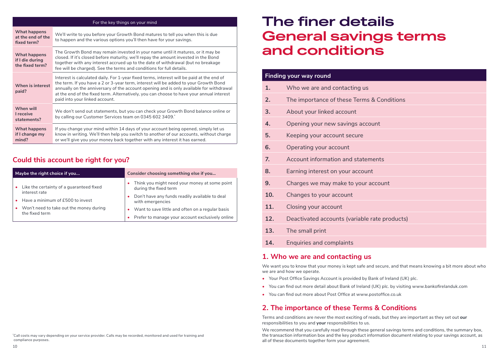| For the key things on your mind                    |                                                                                                                                                                                                                                                                                                                                                                                                            |  |
|----------------------------------------------------|------------------------------------------------------------------------------------------------------------------------------------------------------------------------------------------------------------------------------------------------------------------------------------------------------------------------------------------------------------------------------------------------------------|--|
| What happens<br>at the end of the<br>fixed term?   | We'll write to you before your Growth Bond matures to tell you when this is due<br>to happen and the various options you'll then have for your savings.                                                                                                                                                                                                                                                    |  |
| What happens<br>if I die during<br>the fixed term? | The Growth Bond may remain invested in your name until it matures, or it may be<br>closed. If it's closed before maturity, we'll repay the amount invested in the Bond<br>together with any interest accrued up to the date of withdrawal (but no breakage<br>fee will be charged). See the terms and conditions for full details.                                                                         |  |
| When is interest<br>paid?                          | Interest is calculated daily. For 1-year fixed terms, interest will be paid at the end of<br>the term. If you have a 2 or 3-year term, interest will be added to your Growth Bond<br>annually on the anniversary of the account opening and is only available for withdrawal<br>at the end of the fixed term. Alternatively, you can choose to have your annual interest<br>paid into your linked account. |  |
| When will<br>I receive<br>statements?              | We don't send out statements, but you can check your Growth Bond balance online or<br>by calling our Customer Services team on 0345 602 3409.*                                                                                                                                                                                                                                                             |  |
| What happens<br>if I change my<br>mind?            | If you change your mind within 14 days of your account being opened, simply let us<br>know in writing. We'll then help you switch to another of our accounts, without charge<br>or we'll give you your money back together with any interest it has earned.                                                                                                                                                |  |

### **Could this account be right for you?**

| Maybe the right choice if you                                          | Consider choosing something else if you                                |
|------------------------------------------------------------------------|------------------------------------------------------------------------|
| Like the certainty of a guaranteed fixed<br>interest rate              | Think you might need your money at some point<br>during the fixed term |
| Have a minimum of £500 to invest<br>$\bullet$                          | Don't have any funds readily available to deal<br>with emergencies     |
| Won't need to take out the money during<br>$\bullet$<br>the fixed term | Want to save little and often on a regular basis                       |
|                                                                        | Prefer to manage your account exclusively online                       |

#### \* Call costs may vary depending on your service provider. Calls may be recorded, monitored and used for training and compliance purposes.

### **The finer details General savings terms and conditions**

|                | <b>Finding your way round</b>                 |
|----------------|-----------------------------------------------|
| 1.             | Who we are and contacting us                  |
| 2.             | The importance of these Terms & Conditions    |
| 3.             | About your linked account                     |
| 4.             | Opening your new savings account              |
| 5.             | Keeping your account secure                   |
| 6.             | Operating your account                        |
| 7 <sub>1</sub> | Account information and statements            |
| 8.             | Earning interest on your account              |
| 9.             | Charges we may make to your account           |
| 10.            | Changes to your account                       |
| 11.            | Closing your account                          |
| 12.            | Deactivated accounts (variable rate products) |
| 13.            | The small print                               |
|                |                                               |

**14.** Enquiries and complaints

#### **1. Who we are and contacting us**

We want you to know that your money is kept safe and secure, and that means knowing a bit more about who we are and how we operate.

- **•** Your Post Office Savings Account is provided by Bank of Ireland (UK) plc.
- **•** You can find out more detail about Bank of Ireland (UK) plc. by visiting www.bankofirelanduk.com
- **•** You can find out more about Post Office at www.postoffice.co.uk

### **2. The importance of these Terms & Conditions**

Terms and conditions are never the most exciting of reads, but they are important as they set out **our** responsibilities to you and **your** responsibilities to us.

We recommend that you carefully read through these general savings terms and conditions, the summary box, the transaction information box and the key product information document relating to your savings account, as all of these documents together form your agreement.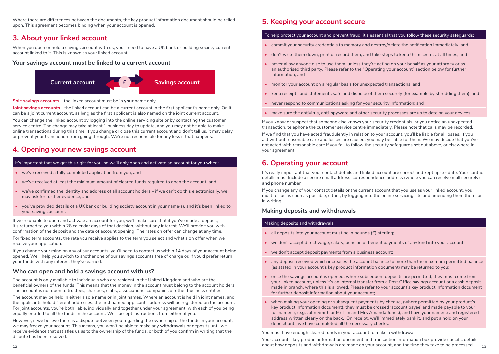Where there are differences between the documents, the key product information document should be relied upon. This agreement becomes binding when your account is opened.

#### **3. About your linked account**

When you open or hold a savings account with us, you'll need to have a UK bank or building society current account linked to it. This is known as your linked account.

#### **Your savings account must be linked to a current account**



**Sole savings accounts** – the linked account must be in **your** name only.

**Joint savings accounts** – the linked account can be a current account in the first applicant's name only. Or, it can be a joint current account, as long as the first applicant is also named on the joint current account.

You can change the linked account by logging into the online servicing site or by contacting the customer service centre. The change may take at least 1 business day to update, and you may not be able to make online transactions during this time. If you change or close this current account and don't tell us, it may delay or prevent your transaction from going through. We're not responsible for any loss if that happens.

#### **4. Opening your new savings account**

#### It's important that we get this right for you, so we'll only open and activate an account for you when:

- **•** we've received a fully completed application from you; and
- **•** we've received at least the minimum amount of cleared funds required to open the account; and
- **•** we've confirmed the identity and address of all account holders if we can't do this electronically, we may ask for further evidence; and
- **•** you've provided details of a UK bank or building society account in your name(s), and it's been linked to your savings account.

If we're unable to open and activate an account for you, we'll make sure that if you've made a deposit, it's returned to you within 28 calendar days of that decision, without any interest. We'll provide you with confirmation of the deposit and the date of account opening. The rates on offer can change at any time.

For fixed term accounts, the rate you receive applies to the term you select and what's on offer when we receive your application.

If you change your mind on any of our accounts, you'll need to contact us within 14 days of your account being opened. We'll help you switch to another one of our savings accounts free of charge or, if you'd prefer return your funds with any interest they've earned.

#### **Who can open and hold a savings account with us?**

The account is only available to individuals who are resident in the United Kingdom and who are the beneficial owners of the funds. This means that the money in the account must belong to the account holders. The account is not open to trustees, charities, clubs, associations, companies or other business entities.

The account may be held in either a sole name or in joint names. Where an account is held in joint names, and the applicants hold different addresses, the first named applicant's address will be registered on the account. For joint accounts, you're both liable, individually and together under your agreement, with each of you being equally entitled to all the funds in the account. We'll accept instructions from either of you.

However, if we believe there is a dispute between you regarding the ownership of the funds in your account, we may freeze your account. This means, you won't be able to make any withdrawals or deposits until we receive evidence that satisfies us as to the ownership of the funds, or both of you confirm in writing that the dispute has been resolved.

#### **5. Keeping your account secure**

#### To help protect your account and prevent fraud, it's essential that you follow these security safeguards:

- **•** commit your security credentials to memory and destroy/delete the notification immediately; and
- **•** don't write them down, print or record them; and take steps to keep them secret at all times; and
- **•** never allow anyone else to use them, unless they're acting on your behalf as your attorney or as an authorised third party. Please refer to the "Operating your account" section below for further information; and
- **•** monitor your account on a regular basis for unexpected transactions; and
- **•** keep receipts and statements safe and dispose of them securely (for example by shredding them); and
- **•** never respond to communications asking for your security information; and
- **•** make sure the antivirus, anti-spyware and other security processes are up to date on your devices.

If you know or suspect that someone else knows your security credentials, or you notice an unexpected transaction, telephone the customer service centre immediately. Please note that calls may be recorded.

If we find that you have acted fraudulently in relation to your account, you'll be liable for all losses. If you act without reasonable care and losses are caused, you may be liable for them. We may decide that you've not acted with reasonable care if you fail to follow the security safeguards set out above, or elsewhere in your agreement.

#### **6. Operating your account**

It's really important that your contact details and linked account are correct and kept up-to-date. Your contact details must include a secure email address, correspondence address (where you can receive mail securely) **and** phone number.

If you change any of your contact details or the current account that you use as your linked account, you must tell us as soon as possible, either, by logging into the online servicing site and amending them there, or in writing.

#### **Making deposits and withdrawals**

#### Making deposits and withdrawals

- **•** all deposits into your account must be in pounds (£) sterling;
- **•** we don't accept direct wage, salary, pension or benefit payments of any kind into your account;
- **•** we don't accept deposit payments from a business account;
- **•** any deposit received which increases the account balance to more than the maximum permitted balance (as stated in your account's key product information document) may be returned to you;
- **•** once the savings account is opened, where subsequent deposits are permitted, they must come from your linked account, unless it's an internal transfer from a Post Office savings account or a cash deposit made in branch, where this is allowed. Please refer to your account's key product information document for further deposit information about your account;
- **•** when making your opening or subsequent payments by cheque, (where permitted by your product's key product information document), they must be crossed 'account payee' and made payable to your full name(s), (e.g. John Smith or Mr Tim and Mrs Amanda Jones); and have your name(s) and registered address written clearly on the back. On receipt, we'll immediately bank it, and put a hold on your deposit until we have completed all the necessary checks.

You must have enough cleared funds in your account to make a withdrawal.

 $_{12}$  about how deposits and withdrawals are made on your account, and the time they take to be processed.  $_{\,\,\,12}$ Your account's key product information document and transaction information box provide specific details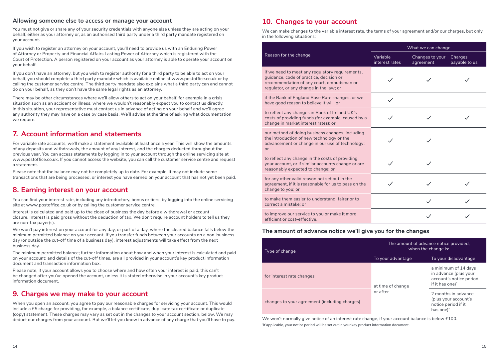#### **Allowing someone else to access or manage your account**

You must not give or share any of your security credentials with anyone else unless they are acting on your behalf, either as your attorney or, as an authorised third party under a third party mandate registered on your account.

If you wish to register an attorney on your account, you'll need to provide us with an Enduring Power of Attorney or Property and Financial Affairs Lasting Power of Attorney which is registered with the Court of Protection. A person registered on your account as your attorney is able to operate your account on your behalf.

If you don't have an attorney, but you wish to register authority for a third party to be able to act on your behalf, you should complete a third party mandate which is available online at www.postoffice.co.uk or by calling the customer service centre. The third party mandate also explains what a third party can and cannot do on your behalf, as they don't have the same legal rights as an attorney.

There may be other circumstances where we'll allow others to act on your behalf, for example in a crisis situation such as an accident or illness, where we wouldn't reasonably expect you to contact us directly. In this situation, your representative must contact us in advance of acting on your behalf and we'll agree any authority they may have on a case by case basis. We'll advise at the time of asking what documentation we require.

#### **7. Account information and statements**

For variable rate accounts, we'll make a statement available at least once a year. This will show the amounts of any deposits and withdrawals, the amount of any interest, and the charges deducted throughout the previous year. You can access statements by logging in to your account through the online servicing site at www.postoffice.co.uk. If you cannot access the website, you can call the customer service centre and request a statement.

Please note that the balance may not be completely up to date. For example, it may not include some transactions that are being processed, or interest you have earned on your account that has not yet been paid.

#### **8. Earning interest on your account**

You can find your interest rate, including any introductory, bonus or tiers, by logging into the online servicing site at www.postoffice.co.uk or by calling the customer service centre.

Interest is calculated and paid up to the close of business the day before a withdrawal or account closure. Interest is paid gross without the deduction of tax. We don't require account holders to tell us they are non-tax payer(s).

We won't pay interest on your account for any day, or part of a day, where the cleared balance falls below the minimum permitted balance on your account. If you transfer funds between your accounts on a non-business day (or outside the cut-off time of a business day), interest adjustments will take effect from the next business day.

The minimum permitted balance; further information about how and when your interest is calculated and paid on your account; and details of the cut-off times, are all provided in your account's key product information document and transaction information box.

Please note, if your account allows you to choose where and how often your interest is paid, this can't be changed after you've opened the account, unless it is stated otherwise in your account's key product information document.

#### **9. Charges we may make to your account**

When you open an account, you agree to pay our reasonable charges for servicing your account. This would include a £5 charge for providing, for example, a balance certificate, duplicate tax certificate or duplicate (copy) statement. These charges may vary as set out in the changes to your account section, below. We may deduct our charges from your account. But we'll let you know in advance of any charge that you'll have to pay.

#### **10. Changes to your account**

We can make changes to the variable interest rate, the terms of your agreement and/or our charges, but only in the following situations:

|                                                                                                                                                                                    | What we can change         |                              |                          |  |
|------------------------------------------------------------------------------------------------------------------------------------------------------------------------------------|----------------------------|------------------------------|--------------------------|--|
| Reason for the change                                                                                                                                                              | Variable<br>interest rates | Changes to your<br>agreement | Charges<br>payable to us |  |
| if we need to meet any regulatory requirements,<br>guidance, code of practice, decision or<br>recommendation of any court, ombudsman or<br>regulator, or any change in the law; or |                            |                              |                          |  |
| if the Bank of England Base Rate changes, or we<br>have good reason to believe it will; or                                                                                         | $\checkmark$               |                              |                          |  |
| to reflect any changes in Bank of Ireland UK's<br>costs of providing funds (for example, caused by a<br>change in market interest rates); or                                       |                            |                              |                          |  |
| our method of doing business changes, including<br>the introduction of new technology or the<br>advancement or change in our use of technology;<br>or                              |                            |                              |                          |  |
| to reflect any change in the costs of providing<br>your account, or if similar accounts change or are<br>reasonably expected to change; or                                         |                            |                              |                          |  |
| for any other valid reason not set out in the<br>agreement, if it is reasonable for us to pass on the<br>change to you; or                                                         |                            |                              |                          |  |
| to make them easier to understand, fairer or to<br>correct a mistake; or                                                                                                           |                            |                              |                          |  |
| to improve our service to you or make it more<br>efficient or cost-effective.                                                                                                      |                            |                              |                          |  |

#### **The amount of advance notice we'll give you for the changes**

| Type of change                                | The amount of advance notice provided.<br>when the change is: |                                                                                                         |  |
|-----------------------------------------------|---------------------------------------------------------------|---------------------------------------------------------------------------------------------------------|--|
|                                               | To your advantage                                             | To your disadvantage                                                                                    |  |
| for interest rate changes                     | at time of change                                             | a minimum of 14 days<br>in advance (plus your<br>account's notice period<br>if it has one) <sup>*</sup> |  |
| changes to your agreement (including charges) | or after                                                      | 2 months in advance<br>(plus your account's<br>notice period if it<br>has one) <sup>*</sup>             |  |

We won't normally give notice of an interest rate change, if your account balance is below £100. \* If applicable, your notice period will be set out in your key product information document.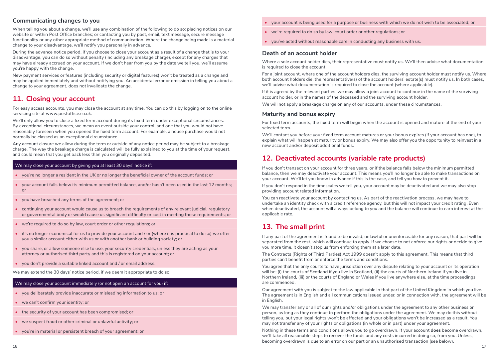#### **Communicating changes to you**

When telling you about a change, we'll use any combination of the following to do so: placing notices on our website or within Post Office branches; or contacting you by post, email, text message, secure message functionality or any other appropriate method of communication. Where the change being made is a material change to your disadvantage, we'll notify you personally in advance.

During the advance notice period, if you choose to close your account as a result of a change that is to your disadvantage, you can do so without penalty (including any breakage charge), except for any charges that may have already accrued on your account. If we don't hear from you by the date we tell you, we'll assume you're happy with the change.

New payment services or features (including security or digital features) won't be treated as a change and may be applied immediately and without notifying you. An accidental error or omission in telling you about a change to your agreement, does not invalidate the change.

#### **11. Closing your account**

For easy access accounts, you may close the account at any time. You can do this by logging on to the online servicing site at www.postoffice.co.uk.

We'll only allow you to close a fixed term account during its fixed term under exceptional circumstances. By exceptional circumstances, we mean an event outside your control, and one that you would not have reasonably foreseen when you opened the fixed term account. For example, a house purchase would not normally be classed as an exceptional circumstance.

Any account closure we allow during the term or outside of any notice period may be subject to a breakage charge. The way the breakage charge is calculated will be fully explained to you at the time of your request, and could mean that you get back less than you originally deposited.

#### We may close your account by giving you at least 30 days' notice if:

- **•** you're no longer a resident in the UK or no longer the beneficial owner of the account funds; or
- **•** your account falls below its minimum permitted balance, and/or hasn't been used in the last 12 months; or
- **•** you have breached any terms of the agreement; or
- continuing your account would cause us to breach the requirements of any relevant judicial, regulatory or governmental body or would cause us significant difficulty or cost in meeting those requirements; or
- **•** we're required to do so by law, court order or other regulations; or
- it's no longer economical for us to provide your account and / or (where it is practical to do so) we offer you a similar account either with us or with another bank or building society; or
- **•** you share, or allow someone else to use, your security credentials, unless they are acting as your attorney or authorised third party and this is registered on your account; or
- **•** you don't provide a suitable linked account and / or email address.

We may extend the 30 days' notice period, if we deem it appropriate to do so.

#### We may close your account immediately (or not open an account for you) if:

- **•** you deliberately provide inaccurate or misleading information to us; or
- **•** we can't confirm your identity; or
- **•** the security of your account has been compromised; or
- **•** we suspect fraud or other criminal or unlawful activity; or
- **•** you're in material or persistent breach of your agreement; or
- **•** your account is being used for a purpose or business with which we do not wish to be associated; or
- **•** we're required to do so by law, court order or other regulations; or
- **•** you've acted without reasonable care in conducting any business with us.

#### **Death of an account holder**

Where a sole account holder dies, their representative must notify us. We'll then advise what documentation is required to close the account.

For a joint account, where one of the account holders dies, the surviving account holder must notify us. Where both account holders die, the representative(s) of the account holders' estate(s) must notify us. In both cases, we'll advise what documentation is required to close the account (where applicable).

If it is agreed by the relevant parties, we may allow a joint account to continue in the name of the surviving account holder, or in the names of the deceased and the surviving account holder.

We will not apply a breakage charge on any of our accounts, under these circumstances.

#### **Maturity and bonus expiry**

For fixed term accounts, the fixed term will begin when the account is opened and mature at the end of your selected term.

We'll contact you before your fixed term account matures or your bonus expires (if your account has one), to explain what will happen at maturity or bonus expiry. We may also offer you the opportunity to reinvest in a new account and/or deposit additional funds.

#### **12. Deactivated accounts (variable rate products)**

If you don't transact on your account for three years, or if the balance falls below the minimum permitted balance, then we may deactivate your account. This means you'll no longer be able to make transactions on your account. We'll let you know in advance if this is the case, and tell you how to prevent it.

If you don't respond in the timescales we tell you, your account may be deactivated and we may also stop providing account related information.

You can reactivate your account by contacting us. As part of the reactivation process, we may have to undertake an identity check with a credit reference agency, but this will not impact your credit rating. Even when deactivated, the account will always belong to you and the balance will continue to earn interest at the applicable rate.

#### **13. The small print**

If any part of the agreement is found to be invalid, unlawful or unenforceable for any reason, that part will be separated from the rest, which will continue to apply. If we choose to not enforce our rights or decide to give you more time, it doesn't stop us from enforcing them at a later date.

The Contracts (Rights of Third Parties) Act 1999 doesn't apply to this agreement. This means that third parties can't benefit from or enforce the terms and conditions.

You agree that the only courts to have jurisdiction over any dispute relating to your account or its operation will be; (i) the courts of Scotland if you live in Scotland, (ii) the courts of Northern Ireland if you live in Northern Ireland, (iii) or the courts of England or Wales if you live anywhere else, at the time proceedings are commenced.

Our agreement with you is subject to the law applicable in that part of the United Kingdom in which you live. The agreement is in English and all communications issued under, or in connection with, the agreement will be in English.

We may transfer any or all of our rights and/or obligations under the agreement to any other business or person, as long as they continue to perform the obligations under the agreement. We may do this without telling you, but your legal rights won't be affected and your obligations won't be increased as a result. You may not transfer any of your rights or obligations (in whole or in part) under your agreement.

Nothing in these terms and conditions allows you to go overdrawn. If your account **does** become overdrawn, we'll take all reasonable steps to recover the funds and any costs incurred in doing so, from you. Unless, becoming overdrawn is due to an error on our part or an unauthorised transaction (see below).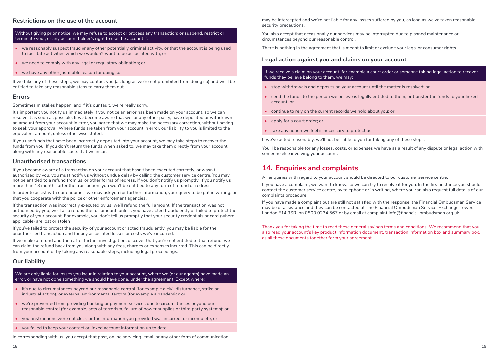#### **Restrictions on the use of the account**

Without giving prior notice, we may refuse to accept or process any transaction; or suspend, restrict or terminate your, or any account holder's right to use the account if:

- **•** we reasonably suspect fraud or any other potentially criminal activity, or that the account is being used to facilitate activities which we wouldn't want to be associated with; or
- **•** we need to comply with any legal or regulatory obligation; or
- **•** we have any other justifiable reason for doing so.

If we take any of these steps, we may contact you (as long as we're not prohibited from doing so) and we'll be entitled to take any reasonable steps to carry them out.

#### **Errors**

Sometimes mistakes happen, and if it's our fault, we're really sorry.

It's important you notify us immediately if you notice an error has been made on your account, so we can resolve it as soon as possible. If we become aware that we, or any other party, have deposited or withdrawn an amount from your account in error, you agree that we may make the necessary correction, without having to seek your approval. Where funds are taken from your account in error, our liability to you is limited to the equivalent amount, unless otherwise stated.

If you use funds that have been incorrectly deposited into your account, we may take steps to recover the funds from you. If you don't return the funds when asked to, we may take them directly from your account along with any reasonable costs that we incur.

#### **Unauthorised transactions**

If you become aware of a transaction on your account that hasn't been executed correctly, or wasn't authorised by you, you must notify us without undue delay by calling the customer service centre. You may not be entitled to a refund from us, or other forms of redress, if you don't notify us promptly. If you notify us more than 13 months after the transaction, you won't be entitled to any form of refund or redress.

In order to assist with our enquiries, we may ask you for further information; your query to be put in writing; or that you cooperate with the police or other enforcement agencies.

If the transaction was incorrectly executed by us, we'll refund the full amount. If the transaction was not authorised by you, we'll also refund the full amount, unless you have acted fraudulently or failed to protect the security of your account. For example, you don't tell us promptly that your security credentials or card (where applicable) are lost or stolen

If you've failed to protect the security of your account or acted fraudulently, you may be liable for the unauthorised transaction and for any associated losses or costs we've incurred.

If we make a refund and then after further investigation, discover that you're not entitled to that refund, we can claim the refund back from you along with any fees, charges or expenses incurred. This can be directly from your account or by taking any reasonable steps, including legal proceedings.

#### **Our liability**

We are only liable for losses you incur in relation to your account, where we (or our agents) have made an error, or have not done something we should have done, under the agreement. Except where:

- **•** it's due to circumstances beyond our reasonable control (for example a civil disturbance, strike or industrial action), or external environmental factors (for example a pandemic): or
- **•** we're prevented from providing banking or payment services due to circumstances beyond our reasonable control (for example, acts of terrorism, failure of power supplies or third party systems): or
- **•** your instructions were not clear; or the information you provided was incorrect or incomplete; or
- **•** you failed to keep your contact or linked account information up to date.

In corresponding with us, you accept that post, online servicing, email or any other form of communication

may be intercepted and we're not liable for any losses suffered by you, as long as we've taken reasonable security precautions.

You also accept that occasionally our services may be interrupted due to planned maintenance or circumstances beyond our reasonable control.

There is nothing in the agreement that is meant to limit or exclude your legal or consumer rights.

#### **Legal action against you and claims on your account**

If we receive a claim on your account, for example a court order or someone taking legal action to recover funds they believe belong to them, we may:

- **•** stop withdrawals and deposits on your account until the matter is resolved; or
- **•** send the funds to the person we believe is legally entitled to them, or transfer the funds to your linked account; or
- **•** continue to rely on the current records we hold about you; or
- **•** apply for a court order; or
- **•** take any action we feel is necessary to protect us.

If we've acted reasonably, we'll not be liable to you for taking any of these steps.

You'll be responsible for any losses, costs, or expenses we have as a result of any dispute or legal action with someone else involving your account.

#### **14. Enquiries and complaints**

All enquiries with regard to your account should be directed to our customer service centre.

If you have a complaint, we want to know, so we can try to resolve it for you. In the first instance you should contact the customer service centre, by telephone or in writing, where you can also request full details of our complaints procedure.

If you have made a complaint but are still not satisfied with the response, the Financial Ombudsman Service may be of assistance and they can be contacted at The Financial Ombudsman Service, Exchange Tower, London E14 9SR, on 0800 0234 567 or by email at complaint.info@financial-ombudsman.org.uk

Thank you for taking the time to read these general savings terms and conditions. We recommend that you also read your account's key product information document, transaction information box and summary box, as all these documents together form your agreement.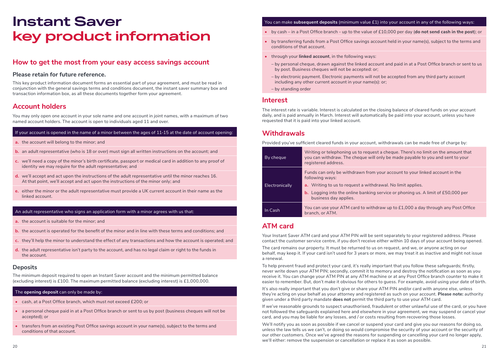### **Instant Saver key product information**

#### **How to get the most from your easy access savings account**

#### **Please retain for future reference.**

This key product information document forms an essential part of your agreement, and must be read in conjunction with the general savings terms and conditions document, the instant saver summary box and transaction information box, as all these documents together form your agreement.

#### **Account holders**

You may only open one account in your sole name and one account in joint names, with a maximum of two named account holders. The account is open to individuals aged 11 and over.

#### If your account is opened in the name of a minor between the ages of 11-15 at the date of account opening:

- **a.** the account will belong to the minor; and
- **b.** an adult representative (who is 18 or over) must sign all written instructions on the account; and
- **c.** we'll need a copy of the minor's birth certificate, passport or medical card in addition to any proof of identity we may require for the adult representative; and
- **d.** we'll accept and act upon the instructions of the adult representative until the minor reaches 16. At that point, we'll accept and act upon the instructions of the minor only; and
- **e.** either the minor or the adult representative must provide a UK current account in their name as the linked account.

#### An adult representative who signs an application form with a minor agrees with us that:

- **a.** the account is suitable for the minor; and
- **b.** the account is operated for the benefit of the minor and in line with these terms and conditions; and
- **c.** they'll help the minor to understand the effect of any transactions and how the account is operated; and
- **d.** the adult representative isn't party to the account, and has no legal claim or right to the funds in the account.

#### **Deposits**

The minimum deposit required to open an Instant Saver account and the minimum permitted balance (excluding interest) is £100. The maximum permitted balance (excluding interest) is £1,000,000.

#### The **opening deposit** can only be made by:

- **•** cash, at a Post Office branch, which must not exceed £200; or
- **•** a personal cheque paid in at a Post Office branch or sent to us by post (business cheques will not be accepted); or
- **•** transfers from an existing Post Office savings account in your name(s), subject to the terms and conditions of that account.

#### You can make **subsequent deposits** (minimum value £1) into your account in any of the following ways:

- **•** by cash in a Post Office branch up to the value of £10,000 per day (**do not send cash in the post**); or
- **•** by transferring funds from a Post Office savings account held in your name(s), subject to the terms and conditions of that account.
- **•** through your **linked account**, in the following ways:
	- by personal cheque, drawn against the linked account and paid in at a Post Office branch or sent to us by post. Business cheques will not be accepted: or;
	- by electronic payment. Electronic payments will not be accepted from any third party account including any other current account in your name(s): or;
- by standing order

#### **Interest**

The interest rate is variable. Interest is calculated on the closing balance of cleared funds on your account daily, and is paid annually in March. Interest will automatically be paid into your account, unless you have requested that it is paid into your linked account.

#### **Withdrawals**

Provided you've sufficient cleared funds in your account, withdrawals can be made free of charge by:

| By cheque      | Writing or telephoning us to request a cheque. There's no limit on the amount that<br>you can withdraw. The cheque will only be made payable to you and sent to your<br>registered address.                                                                                              |
|----------------|------------------------------------------------------------------------------------------------------------------------------------------------------------------------------------------------------------------------------------------------------------------------------------------|
| Electronically | Funds can only be withdrawn from your account to your linked account in the<br>following ways:<br><b>a.</b> Writing to us to request a withdrawal. No limit applies.<br><b>b.</b> Logging into the online banking service or phoning us. A limit of £50,000 per<br>business day applies. |
| In Cash        | You can use your ATM card to withdraw up to $£1,000$ a day through any Post Office<br>branch, or ATM.                                                                                                                                                                                    |

#### **ATM card**

Your Instant Saver ATM card and your ATM PIN will be sent separately to your registered address. Please contact the customer service centre, if you don't receive either within 10 days of your account being opened.

The card remains our property. It must be returned to us on request, and we, or anyone acting on our behalf, may keep it. If your card isn't used for 3 years or more, we may treat it as inactive and might not issue a renewal.

To help prevent fraud and protect your card, it's really important that you follow these safeguards; firstly, never write down your ATM PIN; secondly, commit it to memory and destroy the notification as soon as you receive it. You can change your ATM PIN at any ATM machine or at any Post Office branch counter to make it easier to remember. But, don't make it obvious for others to guess. For example, avoid using your date of birth.

It's also really important that you don't give or share your ATM PIN and/or card with anyone else, unless they're acting on your behalf as your attorney and registered as such on your account. **Please note:** authority given under a third party mandate **does not** permit the third party to use your ATM card.

If we've reasonable grounds to suspect unauthorised, fraudulent or other unlawful use of the card, or you have not followed the safeguards explained here and elsewhere in your agreement, we may suspend or cancel your card, and you may be liable for any losses, and / or costs resulting from recovering those losses.

We'll notify you as soon as possible if we cancel or suspend your card and give you our reasons for doing so, unless the law tells us we can't, or doing so would compromise the security of your account or the security of our other customers. Once we've agreed the reasons for suspending or cancelling your card no longer apply, we'll either: remove the suspension or cancellation or replace it as soon as possible.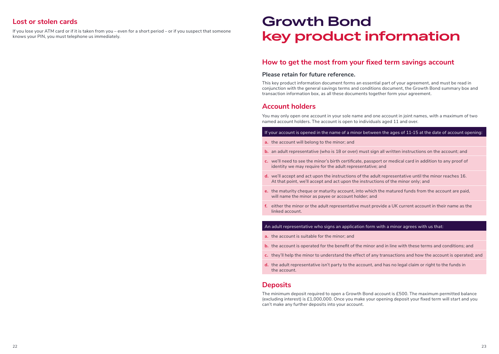#### **Lost or stolen cards**

If you lose your ATM card or if it is taken from you – even for a short period – or if you suspect that someone knows your PIN, you must telephone us immediately.

## **Growth Bond key product information**

#### **How to get the most from your fixed term savings account**

#### **Please retain for future reference.**

This key product information document forms an essential part of your agreement, and must be read in conjunction with the general savings terms and conditions document, the Growth Bond summary box and transaction information box, as all these documents together form your agreement.

#### **Account holders**

You may only open one account in your sole name and one account in joint names, with a maximum of two named account holders. The account is open to individuals aged 11 and over.

#### If your account is opened in the name of a minor between the ages of 11-15 at the date of account opening:

- **a.** the account will belong to the minor; and
- **b.** an adult representative (who is 18 or over) must sign all written instructions on the account; and
- **c.** we'll need to see the minor's birth certificate, passport or medical card in addition to any proof of identity we may require for the adult representative; and
- **d.** we'll accept and act upon the instructions of the adult representative until the minor reaches 16. At that point, we'll accept and act upon the instructions of the minor only; and
- **e.** the maturity cheque or maturity account, into which the matured funds from the account are paid, will name the minor as payee or account holder; and
- **f.** either the minor or the adult representative must provide a UK current account in their name as the linked account.

#### An adult representative who signs an application form with a minor agrees with us that:

- **a.** the account is suitable for the minor; and
- **b.** the account is operated for the benefit of the minor and in line with these terms and conditions; and
- **c.** they'll help the minor to understand the effect of any transactions and how the account is operated; and
- **d.** the adult representative isn't party to the account, and has no legal claim or right to the funds in the account.

#### **Deposits**

The minimum deposit required to open a Growth Bond account is £500. The maximum permitted balance (excluding interest) is £1,000,000. Once you make your opening deposit your fixed term will start and you can't make any further deposits into your account.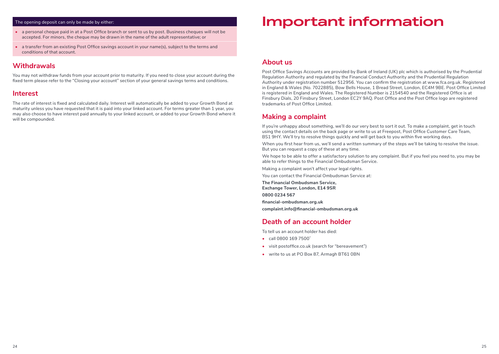#### The opening deposit can only be made by either:

- **•** a personal cheque paid in at a Post Office branch or sent to us by post. Business cheques will not be accepted. For minors, the cheque may be drawn in the name of the adult representative; or
- a transfer from an existing Post Office savings account in your name(s), subject to the terms and conditions of that account.

#### **Withdrawals**

You may not withdraw funds from your account prior to maturity. If you need to close your account during the fixed term please refer to the "Closing your account" section of your general savings terms and conditions.

#### **Interest**

The rate of interest is fixed and calculated daily. Interest will automatically be added to your Growth Bond at maturity unless you have requested that it is paid into your linked account. For terms greater than 1 year, you may also choose to have interest paid annually to your linked account, or added to your Growth Bond where it will be compounded.

### **Important information**

#### **About us**

Post Office Savings Accounts are provided by Bank of Ireland (UK) plc which is authorised by the Prudential Regulation Authority and regulated by the Financial Conduct Authority and the Prudential Regulation Authority under registration number 512956. You can confirm the registration at www.fca.org.uk. Registered in England & Wales (No. 7022885), Bow Bells House, 1 Bread Street, London, EC4M 9BE. Post Office Limited is registered in England and Wales. The Registered Number is 2154540 and the Registered Office is at Finsbury Dials, 20 Finsbury Street, London EC2Y 9AQ. Post Office and the Post Office logo are registered trademarks of Post Office Limited.

#### **Making a complaint**

If you're unhappy about something, we'll do our very best to sort it out. To make a complaint, get in touch using the contact details on the back page or write to us at Freepost, Post Office Customer Care Team, BS1 9HY. We'll try to resolve things quickly and will get back to you within five working days.

When you first hear from us, we'll send a written summary of the steps we'll be taking to resolve the issue. But you can request a copy of these at any time.

We hope to be able to offer a satisfactory solution to any complaint. But if you feel you need to, you may be able to refer things to the Financial Ombudsman Service.

Making a complaint won't affect your legal rights.

You can contact the Financial Ombudsman Service at:

**The Financial Ombudsman Service, Exchange Tower, London, E14 9SR 0800 0234 567 financial-ombudsman.org.uk complaint.info@financial-ombudsman.org.uk**

#### **Death of an account holder**

To tell us an account holder has died:

- **•** call 0800 169 7500\*
- **•** visit postoffice.co.uk (search for "bereavement")
- **•** write to us at PO Box 87, Armagh BT61 0BN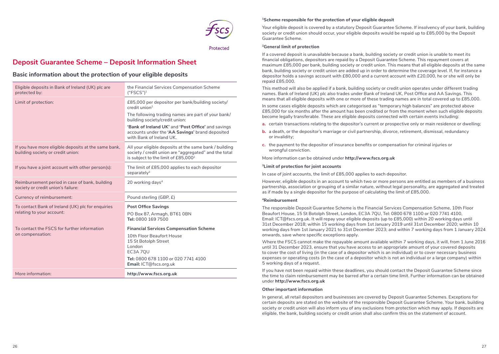

Protected

### **Deposit Guarantee Scheme – Deposit Information Sheet**

#### **Basic information about the protection of your eligible deposits**

| Eligible deposits in Bank of Ireland (UK) plc are<br>protected by:                        | the Financial Services Compensation Scheme<br>("FSCS") <sup>1</sup>                                                                                                                       |  |  |
|-------------------------------------------------------------------------------------------|-------------------------------------------------------------------------------------------------------------------------------------------------------------------------------------------|--|--|
| Limit of protection:                                                                      | £85,000 per depositor per bank/building society/<br>credit union <sup>2</sup><br>The following trading names are part of your bank/<br>building society/credit union:                     |  |  |
|                                                                                           | 'Bank of Ireland UK' and 'Post Office' and savings<br>accounts under the 'AA Savings' brand deposited<br>with Bank of Ireland UK.                                                         |  |  |
| If you have more eligible deposits at the same bank,<br>building society or credit union: | All your eligible deposits at the same bank / building<br>society / credit union are "aggregated" and the total<br>is subject to the limit of £85,0002                                    |  |  |
| If you have a joint account with other person(s):                                         | The limit of £85,000 applies to each depositor<br>separately <sup>3</sup>                                                                                                                 |  |  |
| Reimbursement period in case of bank, building<br>society or credit union's failure:      | 20 working days <sup>4</sup>                                                                                                                                                              |  |  |
| Currency of reimbursement:                                                                | Pound sterling (GBP, £)                                                                                                                                                                   |  |  |
| To contact Bank of Ireland (UK) plc for enquiries<br>relating to your account:            | <b>Post Office Savings</b><br>PO Box 87, Armagh, BT61 0BN<br>Tel: 0800 169 7500                                                                                                           |  |  |
| To contact the FSCS for further information<br>on compensation:                           | <b>Financial Services Compensation Scheme</b><br>10th Floor Beaufort House<br>15 St Botolph Street<br>London<br>EC3A 7QU<br>Tel: 0800 678 1100 or 020 7741 4100<br>Email: ICT@fscs.org.uk |  |  |
| More information:                                                                         | http://www.fscs.org.uk                                                                                                                                                                    |  |  |

#### **1Scheme responsible for the protection of your eligible deposit**

Your eligible deposit is covered by a statutory Deposit Guarantee Scheme. If insolvency of your bank, building society or credit union should occur, your eligible deposits would be repaid up to £85,000 by the Deposit Guarantee Scheme.

#### **<sup>2</sup>General limit of protection**

If a covered deposit is unavailable because a bank, building society or credit union is unable to meet its financial obligations, depositors are repaid by a Deposit Guarantee Scheme. This repayment covers at maximum £85,000 per bank, building society or credit union. This means that all eligible deposits at the same bank, building society or credit union are added up in order to determine the coverage level. If, for instance a depositor holds a savings account with £80,000 and a current account with £20,000, he or she will only be repaid £85,000.

This method will also be applied if a bank, building society or credit union operates under different trading names. Bank of Ireland (UK) plc also trades under Bank of Ireland UK, Post Office and AA Savings. This means that all eligible deposits with one or more of these trading names are in total covered up to £85,000.

In some cases eligible deposits which are categorised as "temporary high balances" are protected above £85,000 for six months after the amount has been credited or from the moment when such eligible deposits become legally transferable. These are eligible deposits connected with certain events including:

- **a.** certain transactions relating to the depositor's current or prospective only or main residence or dwelling;
- **b.** a death, or the depositor's marriage or civil partnership, divorce, retirement, dismissal, redundancy or invalidity;
- **c.** the payment to the depositor of insurance benefits or compensation for criminal injuries or wrongful conviction.

More information can be obtained under **http://www.fscs.org.uk**

#### **3Limit of protection for joint accounts**

In case of joint accounts, the limit of £85,000 applies to each depositor.

However, eligible deposits in an account to which two or more persons are entitled as members of a business partnership, association or grouping of a similar nature, without legal personality, are aggregated and treated as if made by a single depositor for the purpose of calculating the limit of £85,000.

#### **<sup>4</sup>Reimbursement**

The responsible Deposit Guarantee Scheme is the Financial Services Compensation Scheme, 10th Floor Beaufort House, 15 St Botolph Street, London, EC3A 7QU, Tel: 0800 678 1100 or 020 7741 4100, Email: ICT@fscs.org.uk. It will repay your eligible deposits (up to £85,000) within 20 working days until 31st December 2018; within 15 working days from 1st January 2019 until 31st December 2020; within 10 working days from 1st January 2021 to 31st December 2023; and within 7 working days from 1 January 2024 onwards, save where specific exceptions apply.

Where the FSCS cannot make the repayable amount available within 7 working days, it will, from 1 June 2016 until 31 December 2023, ensure that you have access to an appropriate amount of your covered deposits to cover the cost of living (in the case of a depositor which is an individual) or to cover necessary business expenses or operating costs (in the case of a depositor which is not an individual or a large company) within 5 working days of a request.

If you have not been repaid within these deadlines, you should contact the Deposit Guarantee Scheme since the time to claim reimbursement may be barred after a certain time limit. Further information can be obtained under **http://www.fscs.org.uk**

#### **Other important information**

In general, all retail depositors and businesses are covered by Deposit Guarantee Schemes. Exceptions for certain deposits are stated on the website of the responsible Deposit Guarantee Scheme. Your bank, building society or credit union will also inform you of any exclusions from protection which may apply. If deposits are eligible, the bank, building society or credit union shall also confirm this on the statement of account.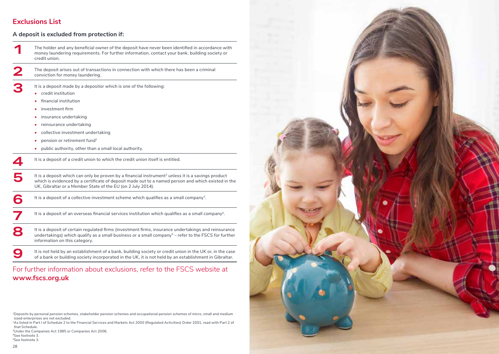### **Exclusions List**

#### **A deposit is excluded from protection if:**

**1** The holder and any beneficial owner of the deposit have never been identified in accordance with money laundering requirements. For further information, contact your bank, building society or credit union.

**2** The deposit arises out of transactions in connection with which there has been a criminal conviction for money laundering.

**3** It is a deposit made by a depositor which is one of the following: **•** credit institution

- 
- **•** financial institution
- **•** investment firm
- **•** insurance undertaking
- **•** reinsurance undertaking
- **•** collective investment undertaking
- pension or retirement fund<sup>1</sup>
- **•** public authority, other than a small local authority.

**4** It is a deposit of a credit union to which the credit union itself is entitled.

It is a deposit which can only be proven by a financial instrument<sup>2</sup> unless it is a savings product which is evidenced by a certificate of deposit made out to a named person and which existed in the UK, Gibraltar or a Member State of the EU (on 2 July 2014).

It is a deposit of a collective investment scheme which qualifies as a small company<sup>3</sup>.

It is a deposit of an overseas financial services institution which qualifies as a small company<sup>4</sup>.

It is a deposit of certain regulated firms (investment firms, insurance undertakings and reinsurance<br>undertakings) which qualify as a small business or a small company<sup>5</sup> – refer to the FSCS for further information on this category.

It is not held by an establishment of a bank, building society or credit union in the UK or, in the case<br>
of a bank or building society incorporated in the UK it is not held by an establishment in Gibraltar of a bank or building society incorporated in the UK, it is not held by an establishment in Gibraltar.

### For further information about exclusions, refer to the FSCS website at **www.fscs.org.uk**

<sup>1</sup>Deposits by personal pension schemes, stakeholder pension schemes and occupational pension schemes of micro, small and medium sized enterprises are not excluded.

<sup>2</sup>As listed in Part I of Schedule 2 to the Financial Services and Markets Act 2000 (Regulated Activities) Order 2001, read with Part 2 of that Schedule.

<sup>3</sup>Under the Companies Act 1985 or Companies Act 2006. 4See footnote 3. 5See footnote 3.

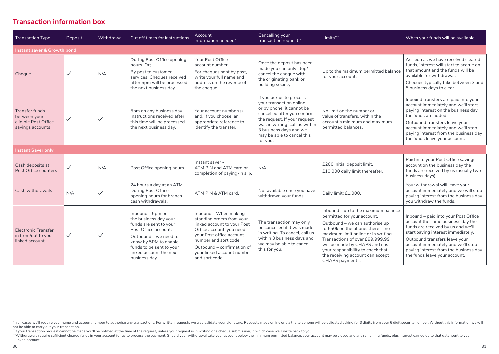#### **Transaction information box**

| <b>Transaction Type</b>                                                           | Deposit      | Withdrawal   | Cut off times for instructions                                                                                                                                                                                        | Account<br>information needed*                                                                                                                                                                                                                   | Cancelling your<br>transaction request**                                                                                                                                                                                                              | Limits***                                                                                                                                                                                                                                                                                                                                          | When your funds will be available                                                                                                                                                                                                                                                                      |  |  |
|-----------------------------------------------------------------------------------|--------------|--------------|-----------------------------------------------------------------------------------------------------------------------------------------------------------------------------------------------------------------------|--------------------------------------------------------------------------------------------------------------------------------------------------------------------------------------------------------------------------------------------------|-------------------------------------------------------------------------------------------------------------------------------------------------------------------------------------------------------------------------------------------------------|----------------------------------------------------------------------------------------------------------------------------------------------------------------------------------------------------------------------------------------------------------------------------------------------------------------------------------------------------|--------------------------------------------------------------------------------------------------------------------------------------------------------------------------------------------------------------------------------------------------------------------------------------------------------|--|--|
| Instant saver & Growth bond                                                       |              |              |                                                                                                                                                                                                                       |                                                                                                                                                                                                                                                  |                                                                                                                                                                                                                                                       |                                                                                                                                                                                                                                                                                                                                                    |                                                                                                                                                                                                                                                                                                        |  |  |
| Cheque                                                                            | $\checkmark$ | N/A          | During Post Office opening<br>hours. Or:<br>By post to customer<br>services. Cheques received<br>after 5pm will be processed<br>the next business day.                                                                | Your Post Office<br>account number.<br>For cheques sent by post,<br>write your full name and<br>address on the reverse of<br>the cheque.                                                                                                         | Once the deposit has been<br>made you can only stop/<br>cancel the cheque with<br>the originating bank or<br>building society.                                                                                                                        | Up to the maximum permitted balance<br>for your account.                                                                                                                                                                                                                                                                                           | As soon as we have received cleared<br>funds, interest will start to accrue on<br>that amount and the funds will be<br>available for withdrawal.<br>Cheques typically take between 3 and<br>5 business days to clear.                                                                                  |  |  |
| <b>Transfer funds</b><br>between your<br>eligible Post Office<br>savings accounts | $\checkmark$ | $\checkmark$ | 5pm on any business day.<br>Instructions received after<br>this time will be processed<br>the next business day.                                                                                                      | Your account number(s)<br>and, if you choose, an<br>appropriate reference to<br>identify the transfer.                                                                                                                                           | If you ask us to process<br>your transaction online<br>or by phone, it cannot be<br>cancelled after you confirm<br>the request. If your request<br>was in writing, call us within<br>3 business days and we<br>may be able to cancel this<br>for you. | No limit on the number or<br>value of transfers, within the<br>account's minimum and maximum<br>permitted balances.                                                                                                                                                                                                                                | Inbound transfers are paid into your<br>account immediately and we'll start<br>paying interest on the business day<br>the funds are added.<br>Outbound transfers leave your<br>account immediately and we'll stop<br>paying interest from the business day<br>the funds leave your account.            |  |  |
| <b>Instant Saver only</b>                                                         |              |              |                                                                                                                                                                                                                       |                                                                                                                                                                                                                                                  |                                                                                                                                                                                                                                                       |                                                                                                                                                                                                                                                                                                                                                    |                                                                                                                                                                                                                                                                                                        |  |  |
| Cash deposits at<br>Post Office counters                                          | $\checkmark$ | N/A          | Post Office opening hours.                                                                                                                                                                                            | Instant saver -<br>ATM PIN and ATM card or<br>completion of paying-in slip.                                                                                                                                                                      | N/A                                                                                                                                                                                                                                                   | £200 initial deposit limit.<br>£10,000 daily limit thereafter.                                                                                                                                                                                                                                                                                     | Paid in to your Post Office savings<br>account on the business day the<br>funds are received by us (usually two<br>business days).                                                                                                                                                                     |  |  |
| Cash withdrawals                                                                  | N/A          | $\checkmark$ | 24 hours a day at an ATM.<br>During Post Office<br>opening hours for branch<br>cash withdrawals.                                                                                                                      | ATM PIN & ATM card.                                                                                                                                                                                                                              | Not available once you have<br>withdrawn your funds.                                                                                                                                                                                                  | Daily limit: £1,000.                                                                                                                                                                                                                                                                                                                               | Your withdrawal will leave your<br>account immediately and we will stop<br>paying interest from the business day<br>you withdraw the funds.                                                                                                                                                            |  |  |
| <b>Electronic Transfer</b><br>in from/out to your<br>linked account               | $\checkmark$ | $\checkmark$ | Inbound - 5pm on<br>the business day your<br>funds are sent to your<br>Post Office account.<br>Outbound – we need to<br>know by 5PM to enable<br>funds to be sent to your<br>linked account the next<br>business day. | Inbound - When making<br>standing orders from your<br>linked account to your Post<br>Office account, you need<br>your Post office account<br>number and sort code.<br>Outbound - confirmation of<br>your linked account number<br>and sort code. | The transaction may only<br>be cancelled if it was made<br>in writing. To cancel, call us<br>within 3 business days and<br>we may be able to cancel<br>this for you.                                                                                  | Inbound - up to the maximum balance<br>permitted for your account.<br>Outbound - we can authorise up<br>to £50k on the phone, there is no<br>maximum limit online or in writing.<br>Transactions of over £99.999.99<br>will be made by CHAPS and it is<br>your responsibility to check that<br>the receiving account can accept<br>CHAPS payments. | Inbound - paid into your Post Office<br>account the same business day the<br>funds are received by us and we'll<br>start paying interest immediately.<br>Outbound transfers leave your<br>account immediately and we'll stop<br>paying interest from the business day<br>the funds leave your account. |  |  |

"If your transaction request cannot be made you'll be notified at the time of the request, unless your request is in writing or a cheque submission, in which case we'll write back to you.

"Vithdrawals require sufficient cleared funds in your account for us to process the payment. Should your withdrawal take your account below the minimum permitted balance, your account may be closed and any remaining funds, linked account.

<sup>&#</sup>x27;In all cases we'll require your name and account number to authorise any transactions. For written requests we also validate your signature. Requests made online or via the telephone will be validated asking for 3 digits not be able to carry out your transaction.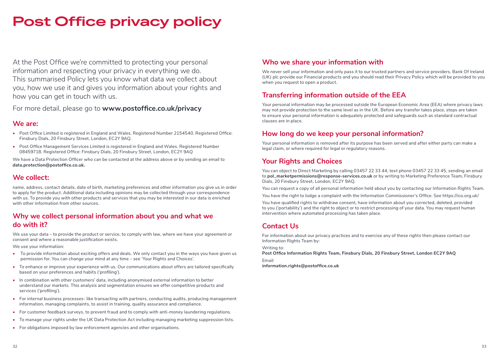## **Post Office privacy policy**

At the Post Office we're committed to protecting your personal information and respecting your privacy in everything we do. This summarised Policy lets you know what data we collect about you, how we use it and gives you information about your rights and how you can get in touch with us.

For more detail, please go to **www.postoffice.co.uk/privacy**

#### **We are:**

- Post Office Limited is registered in England and Wales. Registered Number 2154540. Registered Office: Finsbury Dials, 20 Finsbury Street, London, EC2Y 9AQ.
- **•** Post Office Management Services Limited is registered in England and Wales. Registered Number 08459718. Registered Office: Finsbury Dials, 20 Finsbury Street, London, EC2Y 9AQ

We have a Data Protection Officer who can be contacted at the address above or by sending an email to **data.protection@postoffice.co.uk.**

#### **We collect:**

name, address, contact details, date of birth, marketing preferences and other information you give us in order to apply for the product. Additional data including opinions may be collected through your correspondence with us. To provide you with other products and services that you may be interested in our data is enriched with other information from other sources.

#### **Why we collect personal information about you and what we do with it?**

We use your data – to provide the product or service, to comply with law, where we have your agreement or consent and where a reasonable justification exists.

We use your information:

- **•** To provide information about exciting offers and deals. We only contact you in the ways you have given us permission for. You can change your mind at any time – see 'Your Rights and Choices'.
- **•** To enhance or improve your experience with us. Our communications about offers are tailored specifically based on your preferences and habits ('profiling').
- **•** In combination with other customers' data, including anonymised external information to better understand our markets. This analysis and segmentation ensures we offer competitive products and services ('profiling').
- **•** For internal business processes- like transacting with partners, conducting audits, producing management information, managing complaints, to assist in training, quality assurance and compliance.
- **•** For customer feedback surveys, to prevent fraud and to comply with anti-money laundering regulations.
- **•** To manage your rights under the UK Data Protection Act including managing marketing suppression lists.
- **•** For obligations imposed by law enforcement agencies and other organisations.

#### **Who we share your information with**

We never sell your information and only pass it to our trusted partners and service providers. Bank Of Ireland (UK) plc provide our Financial products and you should read their Privacy Policy which will be provided to you when you request to open a product.

#### **Transferring information outside of the EEA**

Your personal information may be processed outside the European Economic Area (EEA) where privacy laws may not provide protection to the same level as in the UK. Before any transfer takes place, steps are taken to ensure your personal information is adequately protected and safeguards such as standard contractual clauses are in place.

#### **How long do we keep your personal information?**

Your personal information is removed after its purpose has been served and after either party can make a legal claim, or where required for legal or regulatory reasons.

#### **Your Rights and Choices**

You can object to Direct Marketing by calling 03457 22 33 44, text phone 03457 22 33 45, sending an email to **pol\_marketpermissions@response-services.co.uk** or by writing to Marketing Preference Team, Finsbury Dials, 20 Finsbury Street, London, EC2Y 9AQ.

You can request a copy of all personal information held about you by contacting our Information Rights Team. You have the right to lodge a complaint with the Information Commissioner's Office. See https://ico.org.uk/

You have qualified rights to withdraw consent, have information about you corrected, deleted, provided to you ('portability') and the right to object or to restrict processing of your data. You may request human intervention where automated processing has taken place.

#### **Contact Us**

For information about our privacy practices and to exercise any of these rights then please contact our Information Rights Team by:

Writing to:

**Post Office Information Rights Team, Finsbury Dials, 20 Finsbury Street, London EC2Y 9AQ** 

Email: **information.rights@postoffice.co.uk**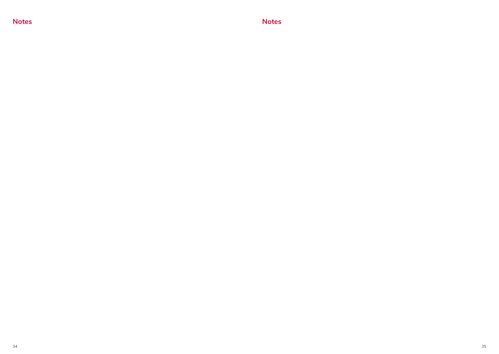**Notes Notes**